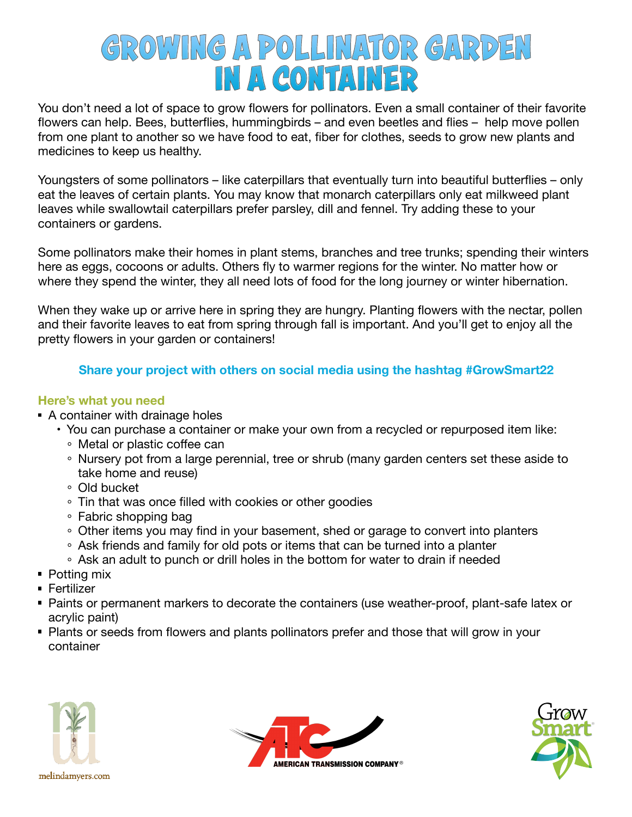# **GROWING A POLLINATOR GARDEN IN A CONTAINER**

You don't need a lot of space to grow flowers for pollinators. Even a small container of their favorite flowers can help. Bees, butterflies, hummingbirds – and even beetles and flies – help move pollen from one plant to another so we have food to eat, fiber for clothes, seeds to grow new plants and medicines to keep us healthy.

Youngsters of some pollinators – like caterpillars that eventually turn into beautiful butterflies – only eat the leaves of certain plants. You may know that monarch caterpillars only eat milkweed plant leaves while swallowtail caterpillars prefer parsley, dill and fennel. Try adding these to your containers or gardens.

Some pollinators make their homes in plant stems, branches and tree trunks; spending their winters here as eggs, cocoons or adults. Others fly to warmer regions for the winter. No matter how or where they spend the winter, they all need lots of food for the long journey or winter hibernation.

When they wake up or arrive here in spring they are hungry. Planting flowers with the nectar, pollen and their favorite leaves to eat from spring through fall is important. And you'll get to enjoy all the pretty flowers in your garden or containers!

## **Share your project with others on social media using the hashtag #GrowSmart22**

#### **Here's what you need**

- A container with drainage holes
	- You can purchase a container or make your own from a recycled or repurposed item like:
		- Metal or plastic coffee can
		- Nursery pot from a large perennial, tree or shrub (many garden centers set these aside to take home and reuse)
		- Old bucket
		- Tin that was once filled with cookies or other goodies
		- Fabric shopping bag
		- Other items you may find in your basement, shed or garage to convert into planters
		- Ask friends and family for old pots or items that can be turned into a planter
		- Ask an adult to punch or drill holes in the bottom for water to drain if needed
- **Potting mix**
- Fertilizer
- Paints or permanent markers to decorate the containers (use weather-proof, plant-safe latex or acrylic paint)
- **Plants or seeds from flowers and plants pollinators prefer and those that will grow in your** container





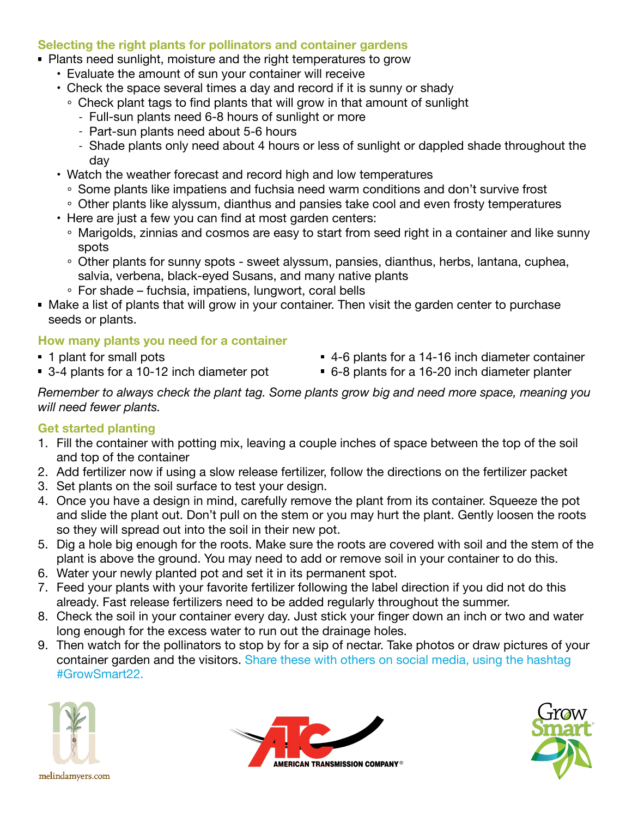#### **Selecting the right plants for pollinators and container gardens**

- **Plants need sunlight, moisture and the right temperatures to grow** 
	- Evaluate the amount of sun your container will receive
	- Check the space several times a day and record if it is sunny or shady
		- Check plant tags to find plants that will grow in that amount of sunlight
			- Full-sun plants need 6-8 hours of sunlight or more
			- Part-sun plants need about 5-6 hours
			- Shade plants only need about 4 hours or less of sunlight or dappled shade throughout the day
	- Watch the weather forecast and record high and low temperatures
		- Some plants like impatiens and fuchsia need warm conditions and don't survive frost
		- Other plants like alyssum, dianthus and pansies take cool and even frosty temperatures
	- Here are just a few you can find at most garden centers:
		- Marigolds, zinnias and cosmos are easy to start from seed right in a container and like sunny spots
		- Other plants for sunny spots sweet alyssum, pansies, dianthus, herbs, lantana, cuphea, salvia, verbena, black-eyed Susans, and many native plants
		- $\circ$  For shade fuchsia, impatiens, lungwort, coral bells
- Make a list of plants that will grow in your container. Then visit the garden center to purchase seeds or plants.

#### **How many plants you need for a container**

- **1** plant for small pots
- 3-4 plants for a 10-12 inch diameter pot
- 4-6 plants for a 14-16 inch diameter container
- 6-8 plants for a 16-20 inch diameter planter

*Remember to always check the plant tag. Some plants grow big and need more space, meaning you will need fewer plants.* 

#### **Get started planting**

- 1. Fill the container with potting mix, leaving a couple inches of space between the top of the soil and top of the container
- 2. Add fertilizer now if using a slow release fertilizer, follow the directions on the fertilizer packet
- 3. Set plants on the soil surface to test your design.
- 4. Once you have a design in mind, carefully remove the plant from its container. Squeeze the pot and slide the plant out. Don't pull on the stem or you may hurt the plant. Gently loosen the roots so they will spread out into the soil in their new pot.
- 5. Dig a hole big enough for the roots. Make sure the roots are covered with soil and the stem of the plant is above the ground. You may need to add or remove soil in your container to do this.
- 6. Water your newly planted pot and set it in its permanent spot.
- 7. Feed your plants with your favorite fertilizer following the label direction if you did not do this already. Fast release fertilizers need to be added regularly throughout the summer.
- 8. Check the soil in your container every day. Just stick your finger down an inch or two and water long enough for the excess water to run out the drainage holes.
- 9. Then watch for the pollinators to stop by for a sip of nectar. Take photos or draw pictures of your container garden and the visitors. Share these with others on social media, using the hashtag #GrowSmart22.





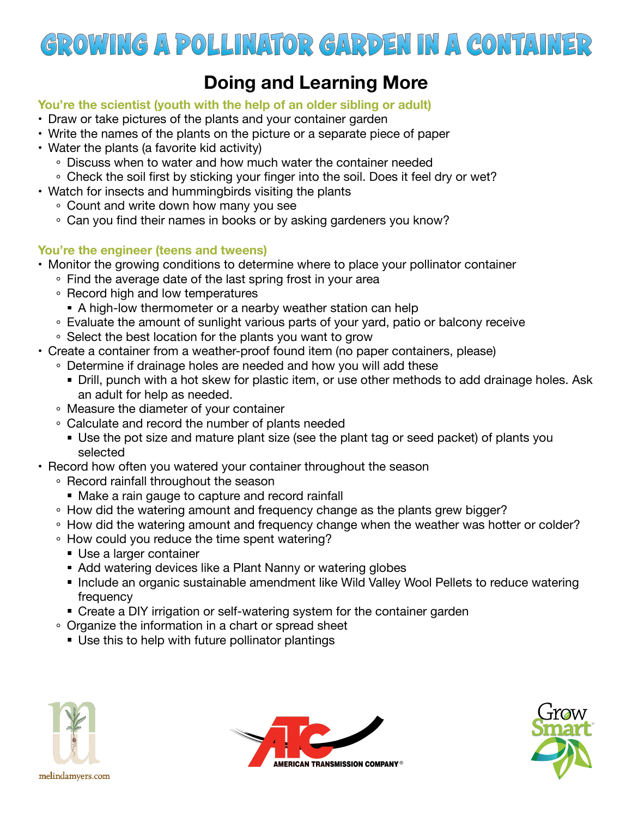

## **Doing and Learning More**

#### **You're the scientist (youth with the help of an older sibling or adult)**

- Draw or take pictures of the plants and your container garden
- Write the names of the plants on the picture or a separate piece of paper
- Water the plants (a favorite kid activity)
	- Discuss when to water and how much water the container needed
	- Check the soil first by sticking your finger into the soil. Does it feel dry or wet?
- Watch for insects and hummingbirds visiting the plants
	- Count and write down how many you see
	- Can you find their names in books or by asking gardeners you know?

## **You're the engineer (teens and tweens)**

- Monitor the growing conditions to determine where to place your pollinator container
	- $\circ$  Find the average date of the last spring frost in your area
	- Record high and low temperatures
		- A high-low thermometer or a nearby weather station can help
	- Evaluate the amount of sunlight various parts of your yard, patio or balcony receive
	- $\circ$  Select the best location for the plants you want to grow
- Create a container from a weather-proof found item (no paper containers, please)
	- Determine if drainage holes are needed and how you will add these
		- Drill, punch with a hot skew for plastic item, or use other methods to add drainage holes. Ask an adult for help as needed.
	- Measure the diameter of your container
	- Calculate and record the number of plants needed
		- Use the pot size and mature plant size (see the plant tag or seed packet) of plants you selected
- Record how often you watered your container throughout the season
	- Record rainfall throughout the season
		- **Make a rain gauge to capture and record rainfall**
	- How did the watering amount and frequency change as the plants grew bigger?
	- How did the watering amount and frequency change when the weather was hotter or colder?
	- How could you reduce the time spent watering?
		- Use a larger container
		- Add watering devices like a Plant Nanny or watering globes
		- **Include an organic sustainable amendment like Wild Valley Wool Pellets to reduce watering** frequency
	- Create a DIY irrigation or self-watering system for the container garden
	- Organize the information in a chart or spread sheet
		- Use this to help with future pollinator plantings